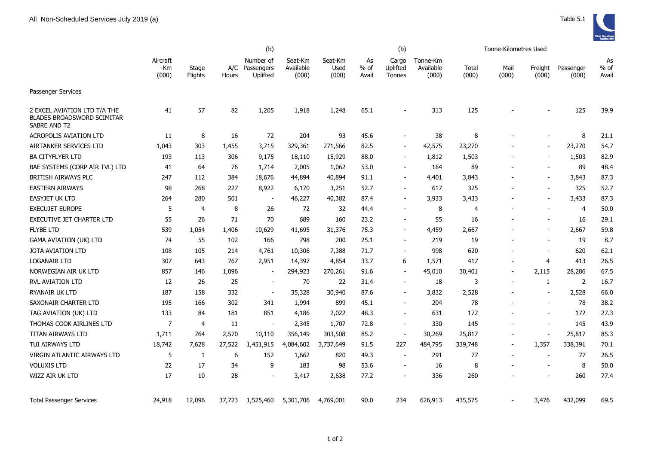

|                                                                                   | (b)                      |                  |        |                                         |                               |                          |                       | (b)                         |                                |                | Tonne-Kilometres Used    |                          |                    |                       |
|-----------------------------------------------------------------------------------|--------------------------|------------------|--------|-----------------------------------------|-------------------------------|--------------------------|-----------------------|-----------------------------|--------------------------------|----------------|--------------------------|--------------------------|--------------------|-----------------------|
|                                                                                   | Aircraft<br>-Km<br>(000) | Stage<br>Flights | Hours  | Number of<br>A/C Passengers<br>Uplifted | Seat-Km<br>Available<br>(000) | Seat-Km<br>Used<br>(000) | As<br>$%$ of<br>Avail | Cargo<br>Uplifted<br>Tonnes | Tonne-Km<br>Available<br>(000) | Total<br>(000) | Mail<br>(000)            | Freight<br>(000)         | Passenger<br>(000) | As<br>$%$ of<br>Avail |
| Passenger Services                                                                |                          |                  |        |                                         |                               |                          |                       |                             |                                |                |                          |                          |                    |                       |
| 2 EXCEL AVIATION LTD T/A THE<br><b>BLADES BROADSWORD SCIMITAR</b><br>SABRE AND T2 | 41                       | 57               | 82     | 1,205                                   | 1,918                         | 1,248                    | 65.1                  |                             | 313                            | 125            |                          |                          | 125                | 39.9                  |
| <b>ACROPOLIS AVIATION LTD</b>                                                     | 11                       | 8                | 16     | 72                                      | 204                           | 93                       | 45.6                  |                             | 38                             | 8              |                          |                          | 8                  | 21.1                  |
| AIRTANKER SERVICES LTD                                                            | 1,043                    | 303              | 1,455  | 3,715                                   | 329,361                       | 271,566                  | 82.5                  |                             | 42,575                         | 23,270         |                          |                          | 23,270             | 54.7                  |
| <b>BA CITYFLYER LTD</b>                                                           | 193                      | 113              | 306    | 9,175                                   | 18,110                        | 15,929                   | 88.0                  | $\blacksquare$              | 1,812                          | 1,503          |                          |                          | 1,503              | 82.9                  |
| BAE SYSTEMS (CORP AIR TVL) LTD                                                    | 41                       | 64               | 76     | 1,714                                   | 2,005                         | 1,062                    | 53.0                  | $\blacksquare$              | 184                            | 89             |                          |                          | 89                 | 48.4                  |
| <b>BRITISH AIRWAYS PLC</b>                                                        | 247                      | 112              | 384    | 18,676                                  | 44,894                        | 40,894                   | 91.1                  | ۰                           | 4,401                          | 3,843          |                          | $\overline{\phantom{a}}$ | 3,843              | 87.3                  |
| <b>EASTERN AIRWAYS</b>                                                            | 98                       | 268              | 227    | 8,922                                   | 6,170                         | 3,251                    | 52.7                  | ÷                           | 617                            | 325            |                          |                          | 325                | 52.7                  |
| EASYJET UK LTD                                                                    | 264                      | 280              | 501    | $\overline{\phantom{a}}$                | 46,227                        | 40,382                   | 87.4                  | $\blacksquare$              | 3,933                          | 3,433          |                          | $\overline{\phantom{a}}$ | 3,433              | 87.3                  |
| <b>EXECUJET EUROPE</b>                                                            | 5                        | $\overline{4}$   | 8      | 26                                      | 72                            | 32                       | 44.4                  |                             | 8                              | 4              |                          |                          | 4                  | 50.0                  |
| EXECUTIVE JET CHARTER LTD                                                         | 55                       | 26               | 71     | 70                                      | 689                           | 160                      | 23.2                  |                             | 55                             | 16             |                          |                          | 16                 | 29.1                  |
| <b>FLYBE LTD</b>                                                                  | 539                      | 1,054            | 1,406  | 10,629                                  | 41,695                        | 31,376                   | 75.3                  | $\overline{\phantom{0}}$    | 4,459                          | 2,667          |                          |                          | 2,667              | 59.8                  |
| <b>GAMA AVIATION (UK) LTD</b>                                                     | 74                       | 55               | 102    | 166                                     | 798                           | 200                      | 25.1                  | $\sim$                      | 219                            | 19             |                          |                          | 19                 | 8.7                   |
| JOTA AVIATION LTD                                                                 | 108                      | 105              | 214    | 4,761                                   | 10,306                        | 7,388                    | 71.7                  | $\blacksquare$              | 998                            | 620            |                          |                          | 620                | 62.1                  |
| <b>LOGANAIR LTD</b>                                                               | 307                      | 643              | 767    | 2,951                                   | 14,397                        | 4,854                    | 33.7                  | 6                           | 1,571                          | 417            |                          | 4                        | 413                | 26.5                  |
| NORWEGIAN AIR UK LTD                                                              | 857                      | 146              | 1,096  | $\blacksquare$                          | 294,923                       | 270,261                  | 91.6                  | $\blacksquare$              | 45,010                         | 30,401         | $\overline{\phantom{a}}$ | 2,115                    | 28,286             | 67.5                  |
| <b>RVL AVIATION LTD</b>                                                           | 12                       | 26               | 25     | $\blacksquare$                          | 70                            | 22                       | 31.4                  | $\sim$                      | 18                             | 3              | $\blacksquare$           | 1                        | 2                  | 16.7                  |
| RYANAIR UK LTD                                                                    | 187                      | 158              | 332    | $\blacksquare$                          | 35,328                        | 30,940                   | 87.6                  | $\blacksquare$              | 3,832                          | 2,528          |                          |                          | 2,528              | 66.0                  |
| SAXONAIR CHARTER LTD                                                              | 195                      | 166              | 302    | 341                                     | 1,994                         | 899                      | 45.1                  | $\sim$                      | 204                            | 78             |                          |                          | 78                 | 38.2                  |
| TAG AVIATION (UK) LTD                                                             | 133                      | 84               | 181    | 851                                     | 4,186                         | 2,022                    | 48.3                  | ۰                           | 631                            | 172            |                          | $\overline{\phantom{a}}$ | 172                | 27.3                  |
| THOMAS COOK AIRLINES LTD                                                          | 7                        | 4                | 11     | $\overline{\phantom{a}}$                | 2,345                         | 1,707                    | 72.8                  |                             | 330                            | 145            |                          |                          | 145                | 43.9                  |
| TITAN AIRWAYS LTD                                                                 | 1,711                    | 764              | 2,570  | 10,110                                  | 356,149                       | 303,508                  | 85.2                  | $\overline{\phantom{a}}$    | 30,269                         | 25,817         |                          | $\overline{\phantom{a}}$ | 25,817             | 85.3                  |
| TUI AIRWAYS LTD                                                                   | 18,742                   | 7,628            | 27,522 | 1,451,915                               | 4,084,602                     | 3,737,649                | 91.5                  | 227                         | 484,795                        | 339,748        |                          | 1,357                    | 338,391            | 70.1                  |
| VIRGIN ATLANTIC AIRWAYS LTD                                                       | 5                        | -1               | 6      | 152                                     | 1,662                         | 820                      | 49.3                  |                             | 291                            | 77             | $\blacksquare$           |                          | 77                 | 26.5                  |
| <b>VOLUXIS LTD</b>                                                                | 22                       | 17               | 34     | 9                                       | 183                           | 98                       | 53.6                  | $\overline{\phantom{a}}$    | 16                             | 8              |                          |                          | 8                  | 50.0                  |
| WIZZ AIR UK LTD                                                                   | 17                       | 10               | 28     | $\sim$                                  | 3,417                         | 2,638                    | 77.2                  | ÷                           | 336                            | 260            |                          |                          | 260                | 77.4                  |
| <b>Total Passenger Services</b>                                                   | 24,918                   | 12,096           | 37,723 | 1,525,460                               | 5,301,706                     | 4,769,001                | 90.0                  | 234                         | 626,913                        | 435,575        |                          | 3,476                    | 432,099            | 69.5                  |